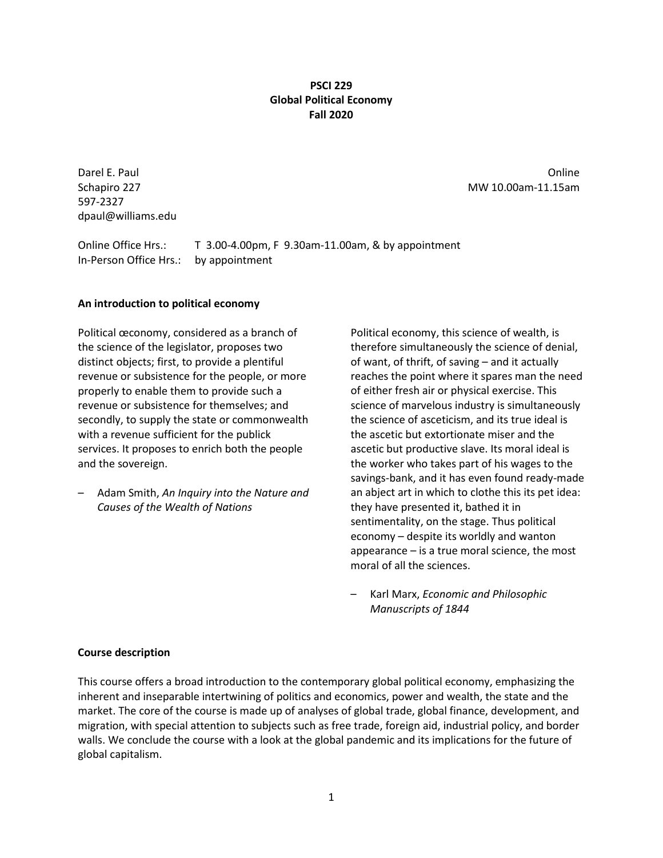### **PSCI 229 Global Political Economy Fall 2020**

597-2327 dpaul@williams.edu

Darel E. Paul Online Schapiro 227 MW 10.00am-11.15am

Online Office Hrs.: T 3.00-4.00pm, F 9.30am-11.00am, & by appointment In-Person Office Hrs.: by appointment

### **An introduction to political economy**

Political œconomy, considered as a branch of the science of the legislator, proposes two distinct objects; first, to provide a plentiful revenue or subsistence for the people, or more properly to enable them to provide such a revenue or subsistence for themselves; and secondly, to supply the state or commonwealth with a revenue sufficient for the publick services. It proposes to enrich both the people and the sovereign.

– Adam Smith, *An Inquiry into the Nature and Causes of the Wealth of Nations*

Political economy, this science of wealth, is therefore simultaneously the science of denial, of want, of thrift, of saving – and it actually reaches the point where it spares man the need of either fresh air or physical exercise. This science of marvelous industry is simultaneously the science of asceticism, and its true ideal is the ascetic but extortionate miser and the ascetic but productive slave. Its moral ideal is the worker who takes part of his wages to the savings-bank, and it has even found ready-made an abject art in which to clothe this its pet idea: they have presented it, bathed it in sentimentality, on the stage. Thus political economy – despite its worldly and wanton appearance – is a true moral science, the most moral of all the sciences.

– Karl Marx, *Economic and Philosophic Manuscripts of 1844*

### **Course description**

This course offers a broad introduction to the contemporary global political economy, emphasizing the inherent and inseparable intertwining of politics and economics, power and wealth, the state and the market. The core of the course is made up of analyses of global trade, global finance, development, and migration, with special attention to subjects such as free trade, foreign aid, industrial policy, and border walls. We conclude the course with a look at the global pandemic and its implications for the future of global capitalism.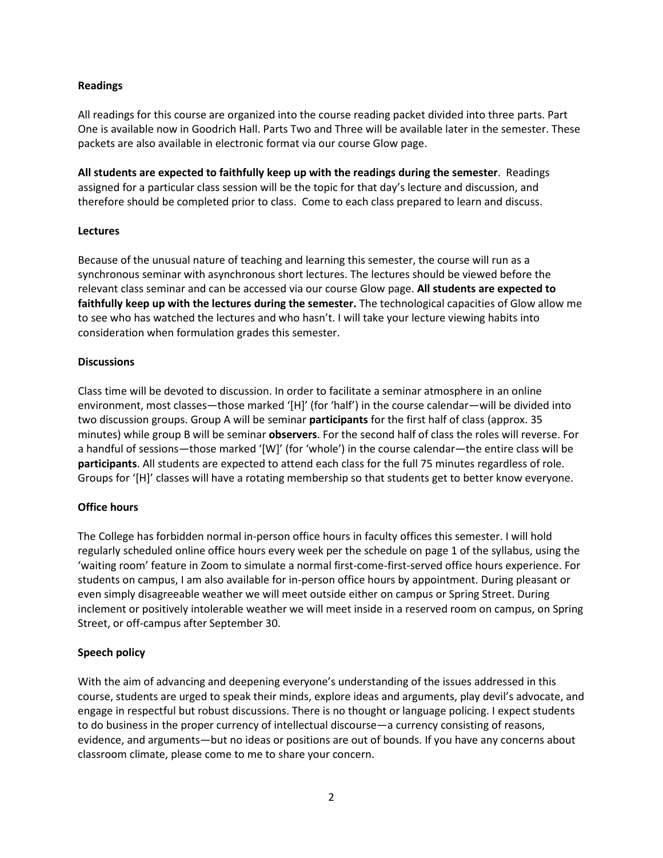### **Readings**

All readings for this course are organized into the course reading packet divided into three parts. Part One is available now in Goodrich Hall. Parts Two and Three will be available later in the semester. These packets are also available in electronic format via our course Glow page.

**All students are expected to faithfully keep up with the readings during the semester**. Readings assigned for a particular class session will be the topic for that day's lecture and discussion, and therefore should be completed prior to class. Come to each class prepared to learn and discuss.

### **Lectures**

Because of the unusual nature of teaching and learning this semester, the course will run as a synchronous seminar with asynchronous short lectures. The lectures should be viewed before the relevant class seminar and can be accessed via our course Glow page. **All students are expected to faithfully keep up with the lectures during the semester.** The technological capacities of Glow allow me to see who has watched the lectures and who hasn't. I will take your lecture viewing habits into consideration when formulation grades this semester.

### **Discussions**

Class time will be devoted to discussion. In order to facilitate a seminar atmosphere in an online environment, most classes—those marked '[H]' (for 'half') in the course calendar—will be divided into two discussion groups. Group A will be seminar **participants** for the first half of class (approx. 35 minutes) while group B will be seminar **observers**. For the second half of class the roles will reverse. For a handful of sessions—those marked '[W]' (for 'whole') in the course calendar—the entire class will be **participants**. All students are expected to attend each class for the full 75 minutes regardless of role. Groups for '[H]' classes will have a rotating membership so that students get to better know everyone.

# **Office hours**

The College has forbidden normal in-person office hours in faculty offices this semester. I will hold regularly scheduled online office hours every week per the schedule on page 1 of the syllabus, using the 'waiting room' feature in Zoom to simulate a normal first-come-first-served office hours experience. For students on campus, I am also available for in-person office hours by appointment. During pleasant or even simply disagreeable weather we will meet outside either on campus or Spring Street. During inclement or positively intolerable weather we will meet inside in a reserved room on campus, on Spring Street, or off-campus after September 30.

# **Speech policy**

With the aim of advancing and deepening everyone's understanding of the issues addressed in this course, students are urged to speak their minds, explore ideas and arguments, play devil's advocate, and engage in respectful but robust discussions. There is no thought or language policing. I expect students to do business in the proper currency of intellectual discourse—a currency consisting of reasons, evidence, and arguments—but no ideas or positions are out of bounds. If you have any concerns about classroom climate, please come to me to share your concern.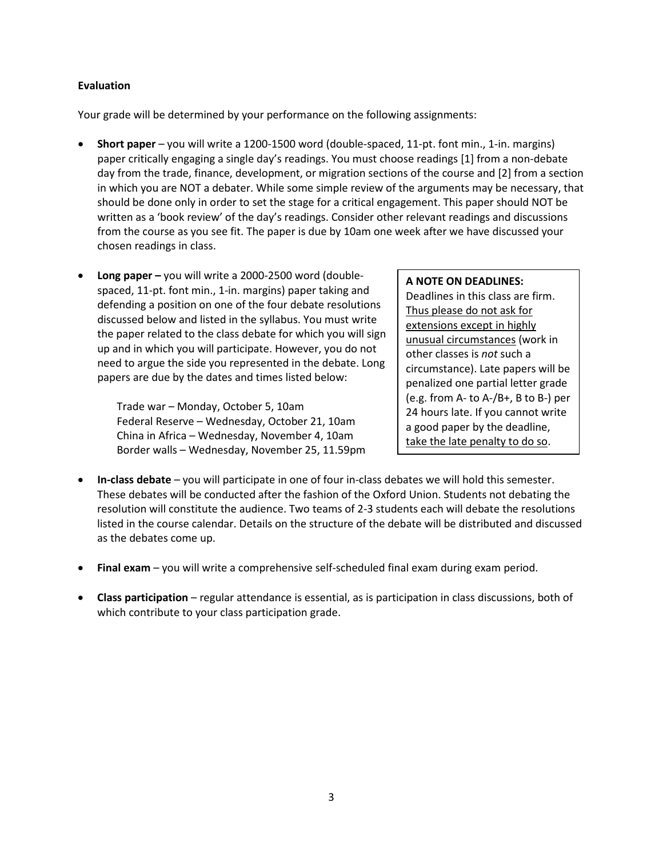### **Evaluation**

Your grade will be determined by your performance on the following assignments:

- **Short paper** you will write a 1200-1500 word (double-spaced, 11-pt. font min., 1-in. margins) paper critically engaging a single day's readings. You must choose readings [1] from a non-debate day from the trade, finance, development, or migration sections of the course and [2] from a section in which you are NOT a debater. While some simple review of the arguments may be necessary, that should be done only in order to set the stage for a critical engagement. This paper should NOT be written as a 'book review' of the day's readings. Consider other relevant readings and discussions from the course as you see fit. The paper is due by 10am one week after we have discussed your chosen readings in class.
- **Long paper –** you will write a 2000-2500 word (doublespaced, 11-pt. font min., 1-in. margins) paper taking and defending a position on one of the four debate resolutions discussed below and listed in the syllabus. You must write the paper related to the class debate for which you will sign up and in which you will participate. However, you do not need to argue the side you represented in the debate. Long papers are due by the dates and times listed below:

Trade war – Monday, October 5, 10am Federal Reserve – Wednesday, October 21, 10am China in Africa – Wednesday, November 4, 10am Border walls – Wednesday, November 25, 11.59pm

### **A NOTE ON DEADLINES:**

Deadlines in this class are firm. Thus please do not ask for extensions except in highly unusual circumstances (work in other classes is *not* such a circumstance). Late papers will be penalized one partial letter grade (e.g. from A- to A-/B+, B to B-) per 24 hours late. If you cannot write a good paper by the deadline, take the late penalty to do so.

- **In-class debate** you will participate in one of four in-class debates we will hold this semester. These debates will be conducted after the fashion of the Oxford Union. Students not debating the resolution will constitute the audience. Two teams of 2-3 students each will debate the resolutions listed in the course calendar. Details on the structure of the debate will be distributed and discussed as the debates come up.
- **Final exam** you will write a comprehensive self-scheduled final exam during exam period.
- **Class participation** regular attendance is essential, as is participation in class discussions, both of which contribute to your class participation grade.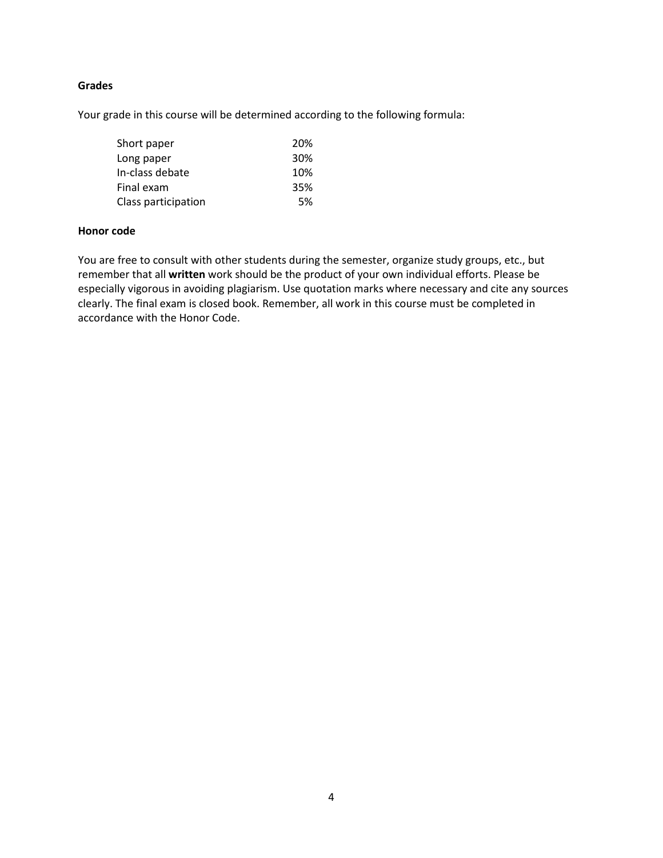### **Grades**

Your grade in this course will be determined according to the following formula:

| Short paper         | 20% |
|---------------------|-----|
| Long paper          | 30% |
| In-class debate     | 10% |
| Final exam          | 35% |
| Class participation | 5%  |

### **Honor code**

You are free to consult with other students during the semester, organize study groups, etc., but remember that all **written** work should be the product of your own individual efforts. Please be especially vigorous in avoiding plagiarism. Use quotation marks where necessary and cite any sources clearly. The final exam is closed book. Remember, all work in this course must be completed in accordance with the Honor Code.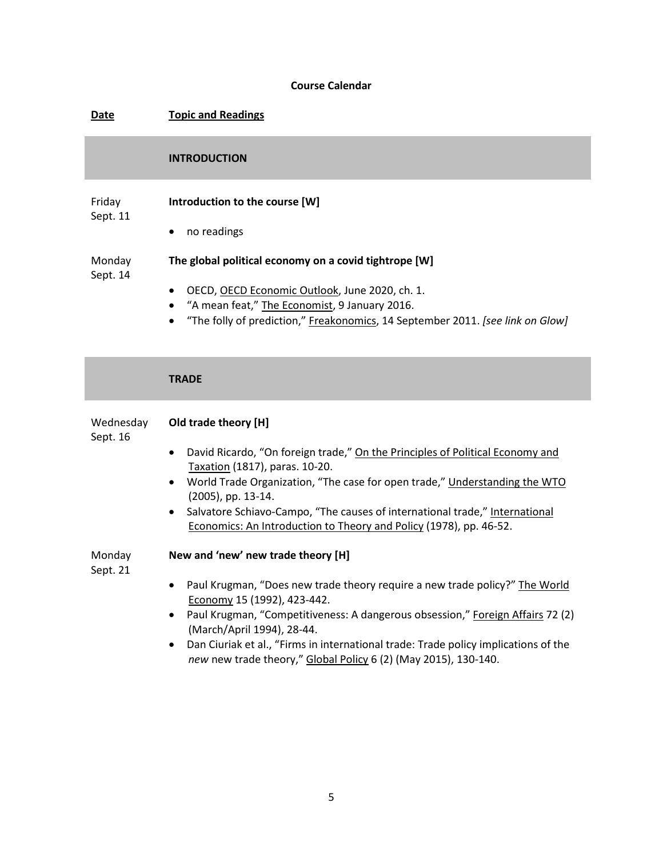# **Course Calendar**

| <b>Date</b>           | <b>Topic and Readings</b>                                                                                                                                                                                                                                                                                                                                                                                                    |
|-----------------------|------------------------------------------------------------------------------------------------------------------------------------------------------------------------------------------------------------------------------------------------------------------------------------------------------------------------------------------------------------------------------------------------------------------------------|
|                       | <b>INTRODUCTION</b>                                                                                                                                                                                                                                                                                                                                                                                                          |
| Friday<br>Sept. 11    | Introduction to the course [W]<br>no readings<br>٠                                                                                                                                                                                                                                                                                                                                                                           |
| Monday<br>Sept. 14    | The global political economy on a covid tightrope [W]<br>OECD, OECD Economic Outlook, June 2020, ch. 1.<br>"A mean feat," The Economist, 9 January 2016.<br>$\bullet$<br>"The folly of prediction," Freakonomics, 14 September 2011. [see link on Glow]<br>$\bullet$                                                                                                                                                         |
|                       | <b>TRADE</b>                                                                                                                                                                                                                                                                                                                                                                                                                 |
| Wednesday<br>Sept. 16 | Old trade theory [H]<br>David Ricardo, "On foreign trade," On the Principles of Political Economy and<br>$\bullet$<br>Taxation (1817), paras. 10-20.<br>World Trade Organization, "The case for open trade," Understanding the WTO<br>$\bullet$<br>(2005), pp. 13-14.<br>Salvatore Schiavo-Campo, "The causes of international trade," International<br>Economics: An Introduction to Theory and Policy (1978), pp. 46-52.   |
| Monday<br>Sept. 21    | New and 'new' new trade theory [H]<br>• Paul Krugman, "Does new trade theory require a new trade policy?" The World<br>Economy 15 (1992), 423-442.<br>Paul Krugman, "Competitiveness: A dangerous obsession," Foreign Affairs 72 (2)<br>(March/April 1994), 28-44.<br>Dan Ciuriak et al., "Firms in international trade: Trade policy implications of the<br>new new trade theory," Global Policy 6 (2) (May 2015), 130-140. |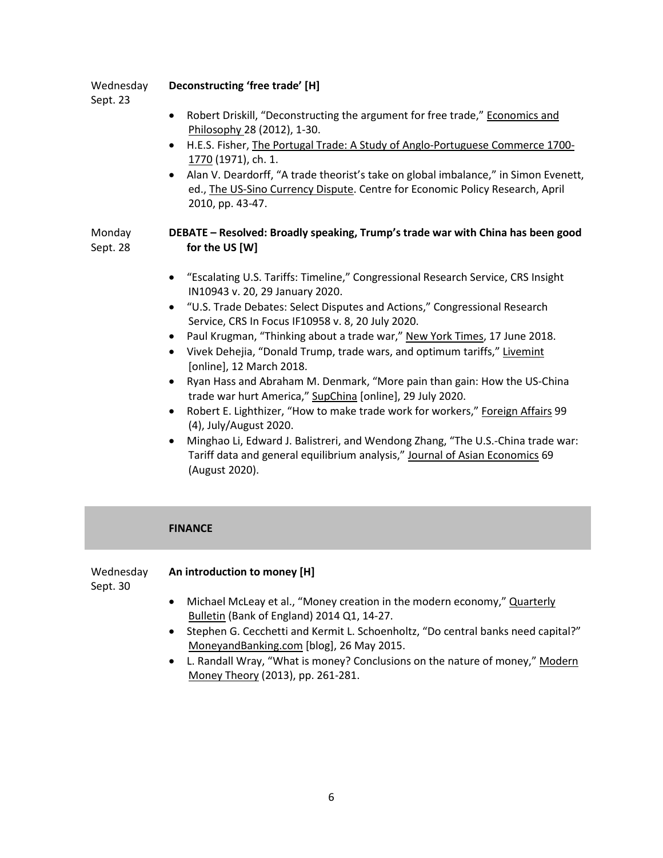Wednesday **Deconstructing 'free trade' [H]**

Sept. 23

- Robert Driskill, "Deconstructing the argument for free trade," Economics and Philosophy 28 (2012), 1-30.
- H.E.S. Fisher, The Portugal Trade: A Study of Anglo-Portuguese Commerce 1700- 1770 (1971), ch. 1.
- Alan V. Deardorff, "A trade theorist's take on global imbalance," in Simon Evenett, ed., The US-Sino Currency Dispute. Centre for Economic Policy Research, April 2010, pp. 43-47.

#### Monday Sept. 28 **DEBATE – Resolved: Broadly speaking, Trump's trade war with China has been good for the US [W]**

- "Escalating U.S. Tariffs: Timeline," Congressional Research Service, CRS Insight IN10943 v. 20, 29 January 2020.
- "U.S. Trade Debates: Select Disputes and Actions," Congressional Research Service, CRS In Focus IF10958 v. 8, 20 July 2020.
- Paul Krugman, "Thinking about a trade war," New York Times, 17 June 2018.
- Vivek Dehejia, "Donald Trump, trade wars, and optimum tariffs," Livemint [online], 12 March 2018.
- Ryan Hass and Abraham M. Denmark, "More pain than gain: How the US-China trade war hurt America," SupChina [online], 29 July 2020.
- Robert E. Lighthizer, "How to make trade work for workers," Foreign Affairs 99 (4), July/August 2020.
- Minghao Li, Edward J. Balistreri, and Wendong Zhang, "The U.S.-China trade war: Tariff data and general equilibrium analysis," Journal of Asian Economics 69 (August 2020).

# **FINANCE** Wednesday Sept. 30 **An introduction to money [H]** • Michael McLeay et al., "Money creation in the modern economy," Quarterly Bulletin (Bank of England) 2014 Q1, 14-27. • Stephen G. Cecchetti and Kermit L. Schoenholtz, "Do central banks need capital?" MoneyandBanking.com [blog], 26 May 2015.

• L. Randall Wray, "What is money? Conclusions on the nature of money," Modern Money Theory (2013), pp. 261-281.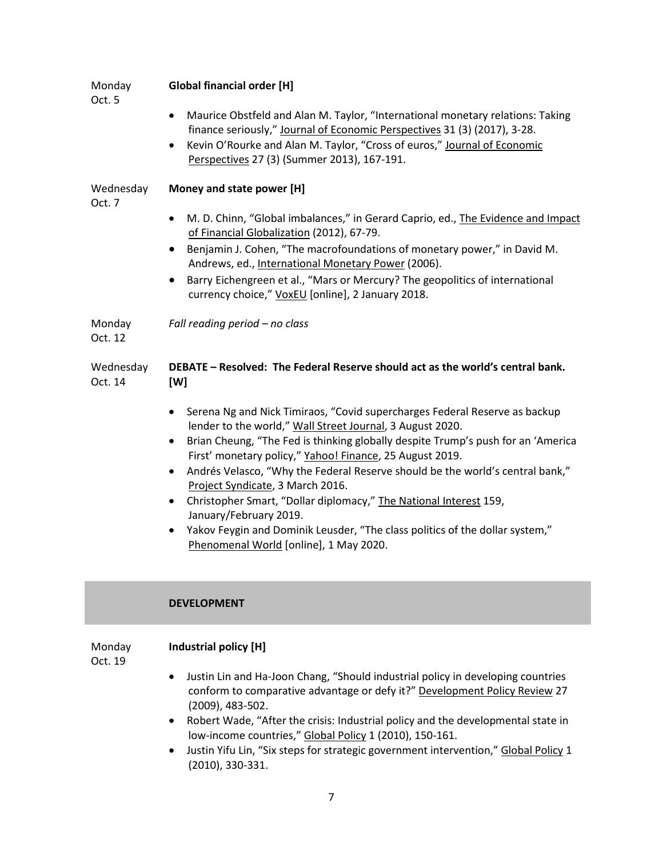| Monday<br>Oct. 5     | <b>Global financial order [H]</b>                                                                                                                                                                                                                                                                        |  |  |
|----------------------|----------------------------------------------------------------------------------------------------------------------------------------------------------------------------------------------------------------------------------------------------------------------------------------------------------|--|--|
|                      | Maurice Obstfeld and Alan M. Taylor, "International monetary relations: Taking<br>٠<br>finance seriously," Journal of Economic Perspectives 31 (3) (2017), 3-28.<br>Kevin O'Rourke and Alan M. Taylor, "Cross of euros," Journal of Economic<br>$\bullet$<br>Perspectives 27 (3) (Summer 2013), 167-191. |  |  |
| Wednesday<br>Oct. 7  | Money and state power [H]                                                                                                                                                                                                                                                                                |  |  |
|                      | M. D. Chinn, "Global imbalances," in Gerard Caprio, ed., The Evidence and Impact<br>$\bullet$<br>of Financial Globalization (2012), 67-79.                                                                                                                                                               |  |  |
|                      | Benjamin J. Cohen, "The macrofoundations of monetary power," in David M.<br>$\bullet$<br>Andrews, ed., International Monetary Power (2006).                                                                                                                                                              |  |  |
|                      | Barry Eichengreen et al., "Mars or Mercury? The geopolitics of international<br>$\bullet$<br>currency choice," VoxEU [online], 2 January 2018.                                                                                                                                                           |  |  |
| Monday<br>Oct. 12    | Fall reading period - no class                                                                                                                                                                                                                                                                           |  |  |
| Wednesday<br>Oct. 14 | DEBATE - Resolved: The Federal Reserve should act as the world's central bank.<br>[W]                                                                                                                                                                                                                    |  |  |
|                      | Serena Ng and Nick Timiraos, "Covid supercharges Federal Reserve as backup<br>$\bullet$<br>lender to the world," Wall Street Journal, 3 August 2020.                                                                                                                                                     |  |  |
|                      | Brian Cheung, "The Fed is thinking globally despite Trump's push for an 'America<br>٠<br>First' monetary policy," Yahoo! Finance, 25 August 2019.                                                                                                                                                        |  |  |
|                      | Andrés Velasco, "Why the Federal Reserve should be the world's central bank,"<br>$\bullet$<br>Project Syndicate, 3 March 2016.                                                                                                                                                                           |  |  |
|                      | Christopher Smart, "Dollar diplomacy," The National Interest 159,<br>$\bullet$<br>January/February 2019.                                                                                                                                                                                                 |  |  |
|                      | Yakov Feygin and Dominik Leusder, "The class politics of the dollar system,"<br>$\bullet$<br>Phenomenal World [online], 1 May 2020.                                                                                                                                                                      |  |  |

## **DEVELOPMENT**

Monday Oct. 19

# **Industrial policy [H]**

- Justin Lin and Ha-Joon Chang, "Should industrial policy in developing countries conform to comparative advantage or defy it?" Development Policy Review 27 (2009), 483-502.
- Robert Wade, "After the crisis: Industrial policy and the developmental state in low-income countries," Global Policy 1 (2010), 150-161.
- Justin Yifu Lin, "Six steps for strategic government intervention," Global Policy 1 (2010), 330-331.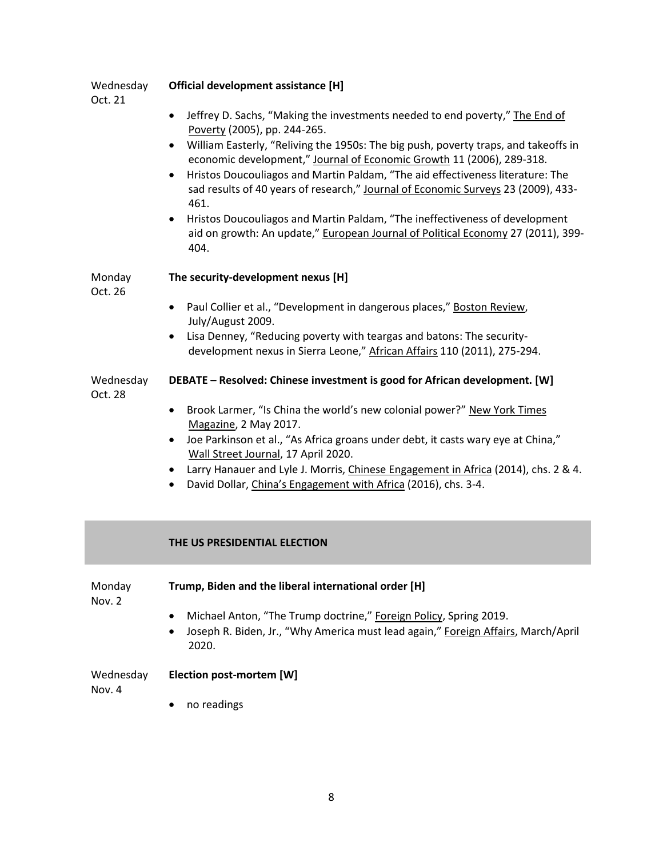| Wednesday<br>Oct. 21 | Official development assistance [H]                                                                                                                                                                                                                                                                                                                                                                                                                                                                                                                                                                                                                                                        |
|----------------------|--------------------------------------------------------------------------------------------------------------------------------------------------------------------------------------------------------------------------------------------------------------------------------------------------------------------------------------------------------------------------------------------------------------------------------------------------------------------------------------------------------------------------------------------------------------------------------------------------------------------------------------------------------------------------------------------|
|                      | Jeffrey D. Sachs, "Making the investments needed to end poverty," The End of<br>$\bullet$<br>Poverty (2005), pp. 244-265.<br>William Easterly, "Reliving the 1950s: The big push, poverty traps, and takeoffs in<br>$\bullet$<br>economic development," Journal of Economic Growth 11 (2006), 289-318.<br>Hristos Doucouliagos and Martin Paldam, "The aid effectiveness literature: The<br>$\bullet$<br>sad results of 40 years of research," Journal of Economic Surveys 23 (2009), 433-<br>461.<br>Hristos Doucouliagos and Martin Paldam, "The ineffectiveness of development<br>$\bullet$<br>aid on growth: An update," European Journal of Political Economy 27 (2011), 399-<br>404. |
| Monday<br>Oct. 26    | The security-development nexus [H]                                                                                                                                                                                                                                                                                                                                                                                                                                                                                                                                                                                                                                                         |
|                      | Paul Collier et al., "Development in dangerous places," Boston Review,<br>$\bullet$<br>July/August 2009.<br>Lisa Denney, "Reducing poverty with teargas and batons: The security-<br>development nexus in Sierra Leone," African Affairs 110 (2011), 275-294.                                                                                                                                                                                                                                                                                                                                                                                                                              |
| Wednesday<br>Oct. 28 | DEBATE - Resolved: Chinese investment is good for African development. [W]                                                                                                                                                                                                                                                                                                                                                                                                                                                                                                                                                                                                                 |
|                      | Brook Larmer, "Is China the world's new colonial power?" New York Times<br>$\bullet$<br>Magazine, 2 May 2017.<br>Joe Parkinson et al., "As Africa groans under debt, it casts wary eye at China,"<br>$\bullet$<br>Wall Street Journal, 17 April 2020.<br>Larry Hanauer and Lyle J. Morris, Chinese Engagement in Africa (2014), chs. 2 & 4.<br>$\bullet$<br>David Dollar, China's Engagement with Africa (2016), chs. 3-4.                                                                                                                                                                                                                                                                 |
|                      | THE US PRESIDENTIAL ELECTION                                                                                                                                                                                                                                                                                                                                                                                                                                                                                                                                                                                                                                                               |
| Monday<br>Nov. 2     | Trump, Biden and the liberal international order [H]                                                                                                                                                                                                                                                                                                                                                                                                                                                                                                                                                                                                                                       |

- Michael Anton, "The Trump doctrine," Foreign Policy, Spring 2019.
- Joseph R. Biden, Jr., "Why America must lead again," Foreign Affairs, March/April 2020.

Wednesday **Election post-mortem [W]**

Nov. 4

• no readings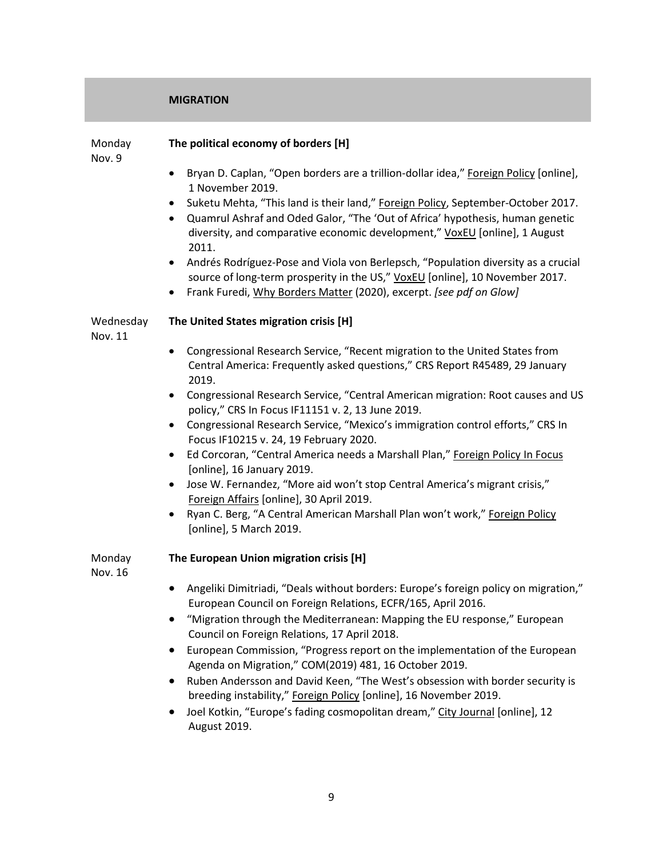### **MIGRATION**

Monday Nov. 9

### **The political economy of borders [H]**

**The United States migration crisis [H]**

• Bryan D. Caplan, "Open borders are a trillion-dollar idea," Foreign Policy [online], 1 November 2019.

- Suketu Mehta, "This land is their land," Foreign Policy, September-October 2017.
- Quamrul Ashraf and Oded Galor, "The 'Out of Africa' hypothesis, human genetic diversity, and comparative economic development," VoxEU [online], 1 August 2011.
- Andrés Rodríguez-Pose and Viola von Berlepsch, "Population diversity as a crucial source of long-term prosperity in the US," VoxEU [online], 10 November 2017.
- Frank Furedi, Why Borders Matter (2020), excerpt. *[see pdf on Glow]*

### Wednesday

Nov. 11

- Congressional Research Service, "Recent migration to the United States from Central America: Frequently asked questions," CRS Report R45489, 29 January 2019.
- Congressional Research Service, "Central American migration: Root causes and US policy," CRS In Focus IF11151 v. 2, 13 June 2019.
- Congressional Research Service, "Mexico's immigration control efforts," CRS In Focus IF10215 v. 24, 19 February 2020.
- Ed Corcoran, "Central America needs a Marshall Plan," Foreign Policy In Focus [online], 16 January 2019.
- Jose W. Fernandez, "More aid won't stop Central America's migrant crisis," Foreign Affairs [online], 30 April 2019.
- Ryan C. Berg, "A Central American Marshall Plan won't work," Foreign Policy [online], 5 March 2019.

Monday Nov. 16

# **The European Union migration crisis [H]**

- Angeliki Dimitriadi, "Deals without borders: Europe's foreign policy on migration," European Council on Foreign Relations, ECFR/165, April 2016.
- "Migration through the Mediterranean: Mapping the EU response," European Council on Foreign Relations, 17 April 2018.
- European Commission, "Progress report on the implementation of the European Agenda on Migration," COM(2019) 481, 16 October 2019.
- Ruben Andersson and David Keen, "The West's obsession with border security is breeding instability," Foreign Policy [online], 16 November 2019.
- Joel Kotkin, "Europe's fading cosmopolitan dream," City Journal [online], 12 August 2019.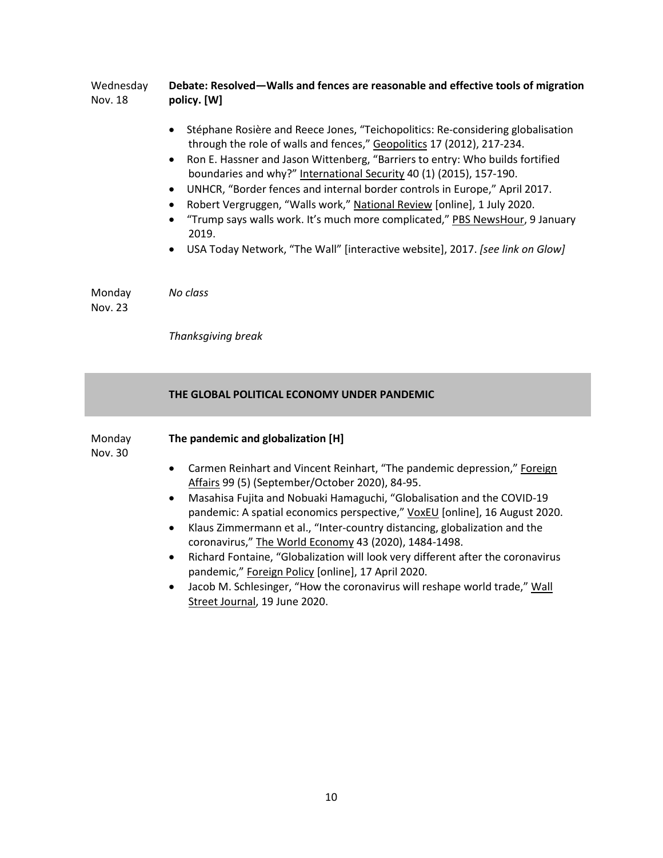#### Wednesday Nov. 18 **Debate: Resolved—Walls and fences are reasonable and effective tools of migration policy. [W]**

- Stéphane Rosière and Reece Jones, "Teichopolitics: Re-considering globalisation through the role of walls and fences," Geopolitics 17 (2012), 217-234.
- Ron E. Hassner and Jason Wittenberg, "Barriers to entry: Who builds fortified boundaries and why?" International Security 40 (1) (2015), 157-190.
- UNHCR, "Border fences and internal border controls in Europe," April 2017.
- Robert Vergruggen, "Walls work," National Review [online], 1 July 2020.
- "Trump says walls work. It's much more complicated," PBS NewsHour, 9 January 2019.
- USA Today Network, "The Wall" [interactive website], 2017. *[see link on Glow]*

Monday *No class*

Nov. 23

*Thanksgiving break*

### **THE GLOBAL POLITICAL ECONOMY UNDER PANDEMIC**

| Monday<br>Nov. 30 | The pandemic and globalization [H]                                                                                                                                                                                                                                                                                                                                                                                                                                                                            |  |
|-------------------|---------------------------------------------------------------------------------------------------------------------------------------------------------------------------------------------------------------------------------------------------------------------------------------------------------------------------------------------------------------------------------------------------------------------------------------------------------------------------------------------------------------|--|
|                   | Carmen Reinhart and Vincent Reinhart, "The pandemic depression," Foreign<br>$\bullet$<br>Affairs 99 (5) (September/October 2020), 84-95.                                                                                                                                                                                                                                                                                                                                                                      |  |
|                   | Masahisa Fujita and Nobuaki Hamaguchi, "Globalisation and the COVID-19<br>$\bullet$<br>pandemic: A spatial economics perspective," VoxEU [online], 16 August 2020.                                                                                                                                                                                                                                                                                                                                            |  |
|                   | Klaus Zimmermann et al., "Inter-country distancing, globalization and the<br>$\bullet$<br>coronavirus," The World Economy 43 (2020), 1484-1498.<br>$\mathbf{r} = \mathbf{r} + \mathbf{r}$ , $\mathbf{r} = \mathbf{r}$ , $\mathbf{r} = \mathbf{r}$ , $\mathbf{r} = \mathbf{r}$ , $\mathbf{r} = \mathbf{r}$ , $\mathbf{r} = \mathbf{r}$ , $\mathbf{r} = \mathbf{r}$ , $\mathbf{r} = \mathbf{r}$ , $\mathbf{r} = \mathbf{r}$ , $\mathbf{r} = \mathbf{r}$ , $\mathbf{r} = \mathbf{r}$ , $\mathbf{r} = \mathbf{r}$ |  |

- Richard Fontaine, "Globalization will look very different after the coronavirus pandemic," Foreign Policy [online], 17 April 2020.
- Jacob M. Schlesinger, "How the coronavirus will reshape world trade," Wall Street Journal, 19 June 2020.